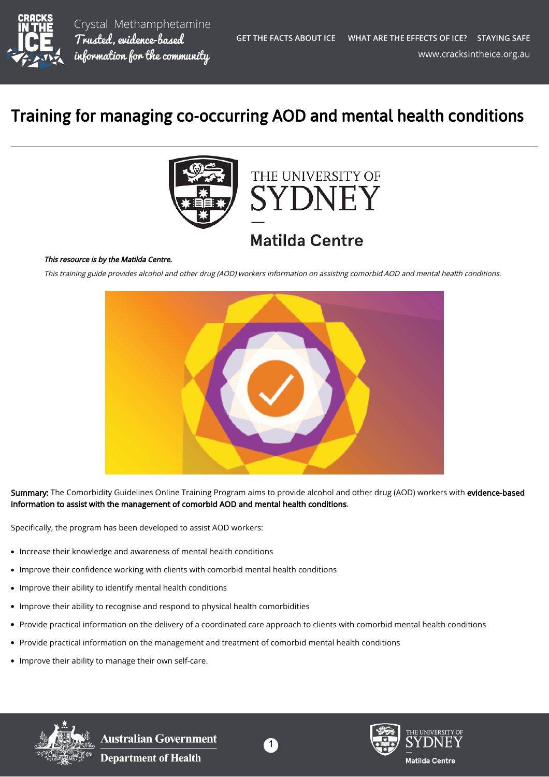

## Training for managing co-occurring AOD and mental health conditions





## **Matilda Centre**

## This resource is by the Matilda Centre.

This training guide provides alcohol and other drug (AOD) workers information on assisting comorbid AOD and mental health conditions.



Summary: The Comorbidity Guidelines Online Training Program aims to provide alcohol and other drug (AOD) workers with evidence-based information to assist with the management of comorbid AOD and mental health conditions.

Specifically, the program has been developed to assist AOD workers:

- Increase their knowledge and awareness of mental health conditions
- Improve their confidence working with clients with comorbid mental health conditions  $\bullet$
- $\bullet$ Improve their ability to identify mental health conditions
- Improve their ability to recognise and respond to physical health comorbidities  $\bullet$
- Provide practical information on the delivery of a coordinated care approach to clients with comorbid mental health conditions
- Provide practical information on the management and treatment of comorbid mental health conditions  $\bullet$
- Improve their ability to manage their own self-care.



**Australian Government Department of Health**